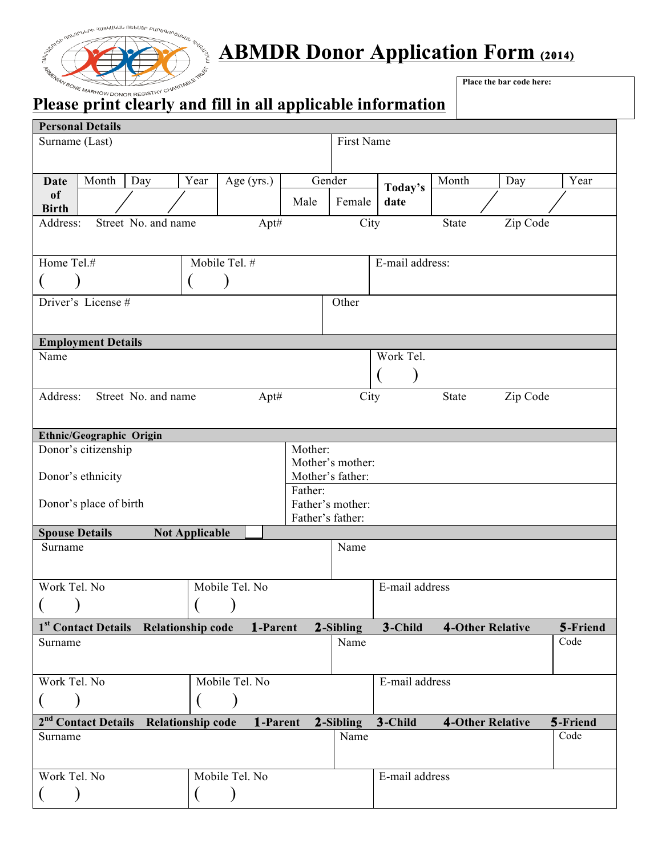

# **ABMDR Donor Application Form (2014)**

## **Please print clearly and fill in all applicable information**

**Place the bar code here:**

| <b>Personal Details</b>                           | <u>- 10000 prime crowing which and we up precude throu</u> |                |                  |                  |                 |                         |          |          |
|---------------------------------------------------|------------------------------------------------------------|----------------|------------------|------------------|-----------------|-------------------------|----------|----------|
| Surname (Last)                                    |                                                            |                |                  | First Name       |                 |                         |          |          |
|                                                   |                                                            |                |                  |                  |                 |                         |          |          |
|                                                   |                                                            |                |                  |                  |                 |                         |          |          |
| Month<br>Day<br><b>Date</b><br>of                 | Year                                                       | Age (yrs.)     |                  | Gender           | Today's         | Month                   | Day      | Year     |
| <b>Birth</b>                                      |                                                            |                | Male             | Female           | date            |                         |          |          |
| Address:<br>Street No. and name                   |                                                            | Apt#           |                  | City             |                 | State                   | Zip Code |          |
|                                                   |                                                            |                |                  |                  |                 |                         |          |          |
| Home Tel.#                                        |                                                            | Mobile Tel. #  |                  |                  | E-mail address: |                         |          |          |
|                                                   |                                                            |                |                  |                  |                 |                         |          |          |
|                                                   |                                                            |                |                  |                  |                 |                         |          |          |
| Driver's License#                                 |                                                            |                |                  | Other            |                 |                         |          |          |
|                                                   |                                                            |                |                  |                  |                 |                         |          |          |
| <b>Employment Details</b>                         |                                                            |                |                  |                  |                 |                         |          |          |
| Name                                              |                                                            |                |                  |                  | Work Tel.       |                         |          |          |
|                                                   |                                                            |                |                  |                  |                 |                         |          |          |
| Street No. and name<br>Address:                   |                                                            | Apt#           |                  | City             |                 | State                   | Zip Code |          |
|                                                   |                                                            |                |                  |                  |                 |                         |          |          |
|                                                   |                                                            |                |                  |                  |                 |                         |          |          |
| Ethnic/Geographic Origin                          |                                                            |                | Mother:          |                  |                 |                         |          |          |
| Donor's citizenship                               |                                                            |                |                  | Mother's mother: |                 |                         |          |          |
| Donor's ethnicity                                 |                                                            |                |                  | Mother's father: |                 |                         |          |          |
|                                                   |                                                            |                | Father:          |                  |                 |                         |          |          |
| Donor's place of birth<br>Father's mother:        |                                                            |                |                  |                  |                 |                         |          |          |
| <b>Spouse Details</b>                             | <b>Not Applicable</b>                                      |                | Father's father: |                  |                 |                         |          |          |
| Surname                                           |                                                            |                |                  | Name             |                 |                         |          |          |
|                                                   |                                                            |                |                  |                  |                 |                         |          |          |
|                                                   |                                                            |                |                  |                  |                 |                         |          |          |
| Work Tel. No                                      |                                                            | Mobile Tel. No |                  |                  | E-mail address  |                         |          |          |
|                                                   |                                                            |                |                  |                  |                 |                         |          |          |
| 1st Contact Details Relationship code             |                                                            | 1-Parent       |                  | 2-Sibling        | 3-Child         | <b>4-Other Relative</b> |          | 5-Friend |
| Surname                                           |                                                            |                |                  | Name             |                 |                         |          | Code     |
|                                                   |                                                            |                |                  |                  |                 |                         |          |          |
| Work Tel. No                                      |                                                            | Mobile Tel. No |                  |                  | E-mail address  |                         |          |          |
|                                                   |                                                            |                |                  |                  |                 |                         |          |          |
|                                                   |                                                            |                |                  |                  |                 |                         |          |          |
| 2 <sup>nd</sup> Contact Details Relationship code |                                                            | 1-Parent       |                  | 2-Sibling        | 3-Child         | <b>4-Other Relative</b> |          | 5-Friend |
| Surname                                           |                                                            |                |                  | Name             |                 |                         |          | Code     |
|                                                   |                                                            |                |                  |                  |                 |                         |          |          |
| Work Tel. No                                      |                                                            | Mobile Tel. No |                  |                  | E-mail address  |                         |          |          |
|                                                   |                                                            |                |                  |                  |                 |                         |          |          |
|                                                   |                                                            |                |                  |                  |                 |                         |          |          |